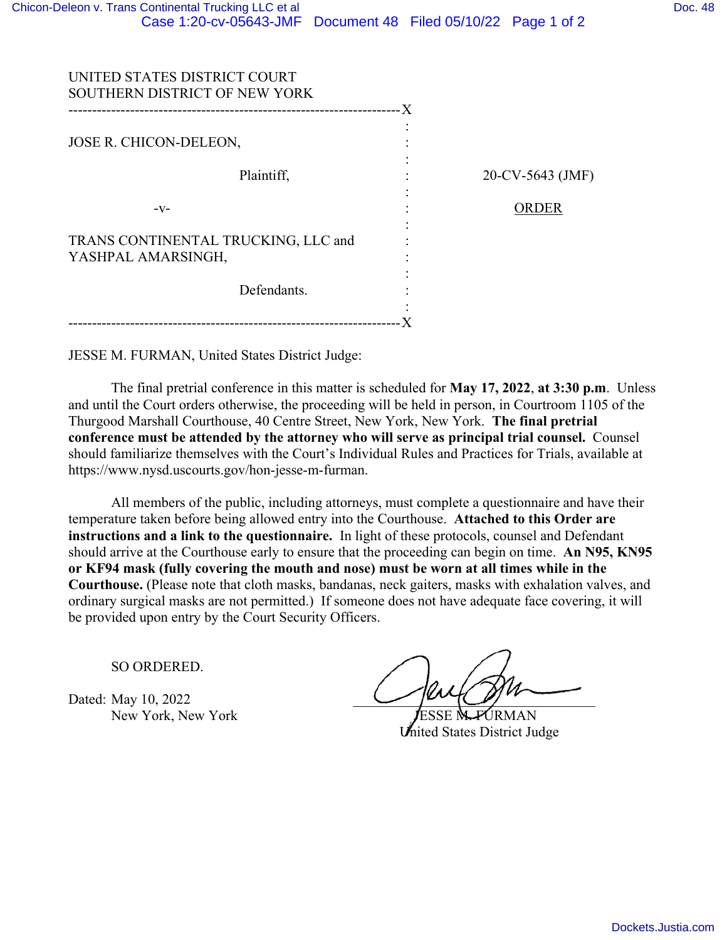| UNITED STATES DISTRICT COURT<br>SOUTHERN DISTRICT OF NEW YORK |                  |
|---------------------------------------------------------------|------------------|
|                                                               |                  |
| JOSE R. CHICON-DELEON,                                        |                  |
| Plaintiff,                                                    | 20-CV-5643 (JMF) |
| $-V-$                                                         | <b>ORDER</b>     |
| TRANS CONTINENTAL TRUCKING, LLC and                           |                  |
| YASHPAL AMARSINGH,                                            |                  |
| Defendants.                                                   |                  |
|                                                               |                  |

JESSE M. FURMAN, United States District Judge:

The final pretrial conference in this matter is scheduled for **May 17, 2022**, **at 3:30 p.m**. Unless and until the Court orders otherwise, the proceeding will be held in person, in Courtroom 1105 of the Thurgood Marshall Courthouse, 40 Centre Street, New York, New York. **The final pretrial conference must be attended by the attorney who will serve as principal trial counsel.** Counsel should familiarize themselves with the Court's Individual Rules and Practices for Trials, available at https://www.nysd.uscourts.gov/hon-jesse-m-furman.

All members of the public, including attorneys, must complete a questionnaire and have their temperature taken before being allowed entry into the Courthouse. **Attached to this Order are instructions and a link to the questionnaire.** In light of these protocols, counsel and Defendant should arrive at the Courthouse early to ensure that the proceeding can begin on time. **An N95, KN95 or KF94 mask (fully covering the mouth and nose) must be worn at all times while in the Courthouse.** (Please note that cloth masks, bandanas, neck gaiters, masks with exhalation valves, and ordinary surgical masks are not permitted.) If someone does not have adequate face covering, it will be provided upon entry by the Court Security Officers.

SO ORDERED.

Dated: May 10, 2022 New York, New York **JESSE M. FURMAN** 

Inited States District Judge